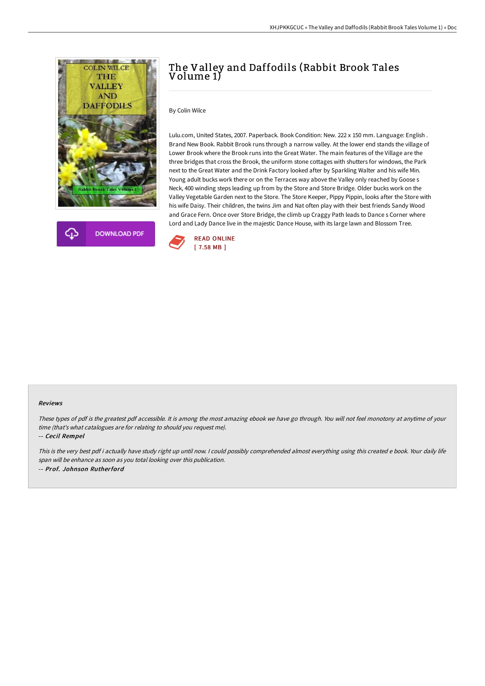



## The Valley and Daffodils (Rabbit Brook Tales Volume 1)

By Colin Wilce

Lulu.com, United States, 2007. Paperback. Book Condition: New. 222 x 150 mm. Language: English . Brand New Book. Rabbit Brook runs through a narrow valley. At the lower end stands the village of Lower Brook where the Brook runs into the Great Water. The main features of the Village are the three bridges that cross the Brook, the uniform stone cottages with shutters for windows, the Park next to the Great Water and the Drink Factory looked after by Sparkling Walter and his wife Min. Young adult bucks work there or on the Terraces way above the Valley only reached by Goose s Neck, 400 winding steps leading up from by the Store and Store Bridge. Older bucks work on the Valley Vegetable Garden next to the Store. The Store Keeper, Pippy Pippin, looks after the Store with his wife Daisy. Their children, the twins Jim and Nat often play with their best friends Sandy Wood and Grace Fern. Once over Store Bridge, the climb up Craggy Path leads to Dance s Corner where Lord and Lady Dance live in the majestic Dance House, with its large lawn and Blossom Tree.



## Reviews

These types of pdf is the greatest pdf accessible. It is among the most amazing ebook we have go through. You will not feel monotony at anytime of your time (that's what catalogues are for relating to should you request me).

-- Cecil Rempel

This is the very best pdf i actually have study right up until now. <sup>I</sup> could possibly comprehended almost everything using this created <sup>e</sup> book. Your daily life span will be enhance as soon as you total looking over this publication. -- Prof. Johnson Rutherford